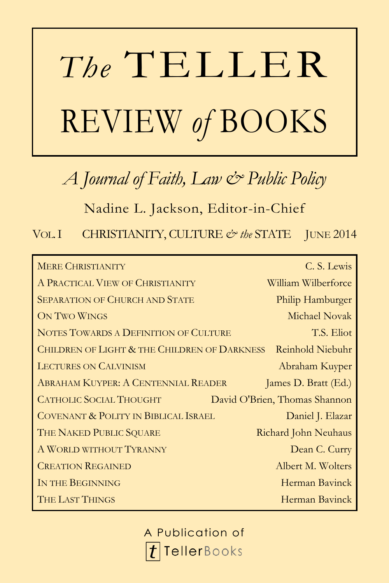# *The* TELLER REVIEW *of* BOOKS

# *A Journal of Faith, Law & Public Policy*

Nadine L. Jackson, Editor-in-Chief

VOL.I CHRISTIANITY, CULTURE *& the* STATE JUNE 2014

| <b>MERE CHRISTIANITY</b>                                | C. S. Lewis                   |
|---------------------------------------------------------|-------------------------------|
| A PRACTICAL VIEW OF CHRISTIANITY                        | William Wilberforce           |
| <b>SEPARATION OF CHURCH AND STATE</b>                   | Philip Hamburger              |
| ON TWO WINGS                                            | Michael Novak                 |
| NOTES TOWARDS A DEFINITION OF CULTURE                   | T.S. Eliot                    |
| <b>CHILDREN OF LIGHT &amp; THE CHILDREN OF DARKNESS</b> | Reinhold Niebuhr              |
| <b>LECTURES ON CALVINISM</b>                            | Abraham Kuyper                |
| <b>ABRAHAM KUYPER: A CENTENNIAL READER</b>              | James D. Bratt (Ed.)          |
| <b>CATHOLIC SOCIAL THOUGHT</b>                          | David O'Brien, Thomas Shannon |
| COVENANT & POLITY IN BIBLICAL ISRAEL                    | Daniel J. Elazar              |
| THE NAKED PUBLIC SQUARE                                 | Richard John Neuhaus          |
| A WORLD WITHOUT TYRANNY                                 | Dean C. Curry                 |
| <b>CREATION REGAINED</b>                                | Albert M. Wolters             |
| IN THE BEGINNING                                        | Herman Bavinck                |
| THE LAST THINGS                                         | Herman Bavinck                |

A Publication of**TellerBooks**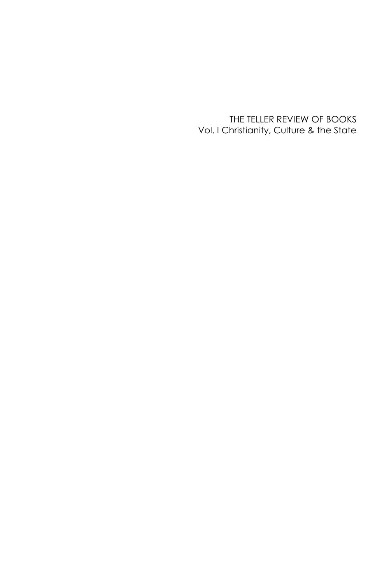THE TELLER REVIEW OF BOOKS Vol. I Christianity, Culture & the State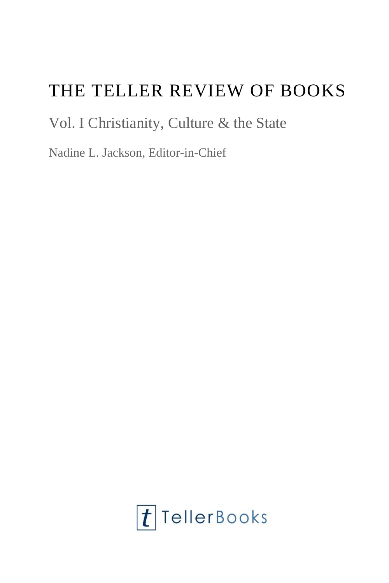# THE TELLER REVIEW OF BOOKS

# Vol. I Christianity, Culture & the State

Nadine L. Jackson, Editor-in-Chief

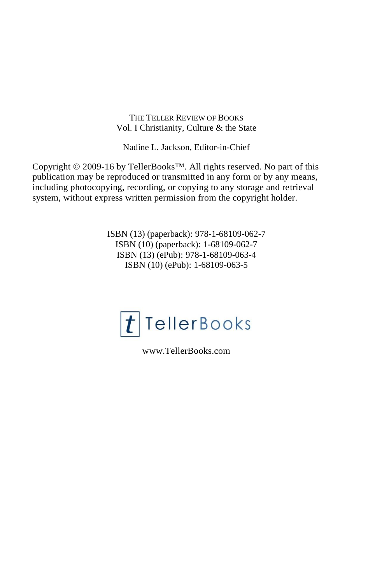THE TELLER REVIEW OF BOOKS Vol. I Christianity, Culture & the State

Nadine L. Jackson, Editor-in-Chief

Copyright © 2009-16 by TellerBooks™. All rights reserved. No part of this publication may be reproduced or transmitted in any form or by any means, including photocopying, recording, or copying to any storage and retrieval system, without express written permission from the copyright holder.

> ISBN (13) (paperback): 978-1-68109-062-7 ISBN (10) (paperback): 1-68109-062-7 ISBN (13) (ePub): 978-1-68109-063-4 ISBN (10) (ePub): 1-68109-063-5



www.TellerBooks.com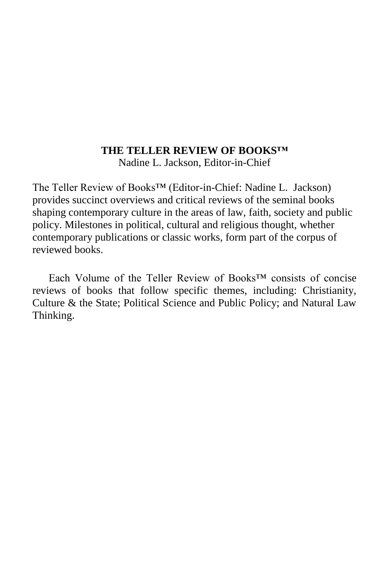#### **THE TELLER REVIEW OF BOOKS™**

Nadine L. Jackson, Editor-in-Chief

The Teller Review of Books™ (Editor-in-Chief: Nadine L. Jackson) provides succinct overviews and critical reviews of the seminal books shaping contemporary culture in the areas of law, faith, society and public policy. Milestones in political, cultural and religious thought, whether contemporary publications or classic works, form part of the corpus of reviewed books.

Each Volume of the Teller Review of Books™ consists of concise reviews of books that follow specific themes, including: Christianity, Culture & the State; Political Science and Public Policy; and Natural Law Thinking.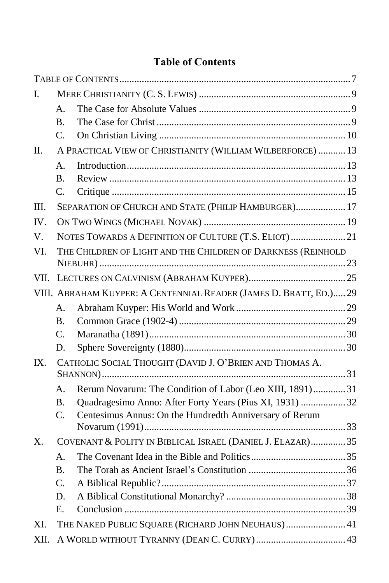# **Table of Contents**

<span id="page-7-0"></span>

| Ι.       |                      |                                                                    |  |
|----------|----------------------|--------------------------------------------------------------------|--|
|          | $\mathsf{A}_{\cdot}$ |                                                                    |  |
|          | <b>B.</b>            |                                                                    |  |
|          | $\mathbf{C}$ .       |                                                                    |  |
| П.       |                      | A PRACTICAL VIEW OF CHRISTIANITY (WILLIAM WILBERFORCE)  13         |  |
|          | А.                   |                                                                    |  |
|          | <b>B.</b>            |                                                                    |  |
|          | C.                   |                                                                    |  |
| Ш.       |                      | SEPARATION OF CHURCH AND STATE (PHILIP HAMBURGER) 17               |  |
| IV.      |                      |                                                                    |  |
| V.       |                      | NOTES TOWARDS A DEFINITION OF CULTURE (T.S. ELIOT)  21             |  |
| VI.      |                      | THE CHILDREN OF LIGHT AND THE CHILDREN OF DARKNESS (REINHOLD       |  |
|          |                      |                                                                    |  |
| VII.     |                      |                                                                    |  |
|          |                      | VIII. ABRAHAM KUYPER: A CENTENNIAL READER (JAMES D. BRATT, ED.) 29 |  |
|          | A.                   |                                                                    |  |
|          | <b>B.</b>            |                                                                    |  |
|          | C.                   |                                                                    |  |
|          | D.                   |                                                                    |  |
| $IX_{-}$ |                      | CATHOLIC SOCIAL THOUGHT (DAVID J. O'BRIEN AND THOMAS A.            |  |
|          | A.                   | Rerum Novarum: The Condition of Labor (Leo XIII, 1891)31           |  |
|          | <b>B.</b>            | Quadragesimo Anno: After Forty Years (Pius XI, 1931)  32           |  |
|          | C.                   | Centesimus Annus: On the Hundredth Anniversary of Rerum            |  |
| X.       |                      | COVENANT & POLITY IN BIBLICAL ISRAEL (DANIEL J. ELAZAR) 35         |  |
|          | А.                   |                                                                    |  |
|          | Β.                   |                                                                    |  |
|          | C.                   |                                                                    |  |
|          | D.                   |                                                                    |  |
|          | Е.                   |                                                                    |  |
| XI.      |                      | THE NAKED PUBLIC SQUARE (RICHARD JOHN NEUHAUS) 41                  |  |
| XII.     |                      |                                                                    |  |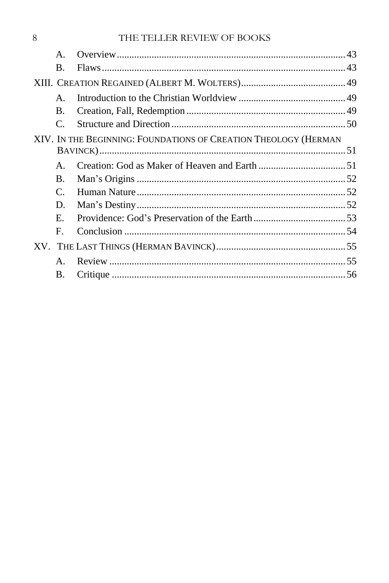| $\mathsf{A}$ .  |                                                                 |
|-----------------|-----------------------------------------------------------------|
| В.              |                                                                 |
|                 |                                                                 |
| $\mathsf{A}$    |                                                                 |
| <b>B.</b>       |                                                                 |
| $\mathcal{C}$ . |                                                                 |
|                 |                                                                 |
|                 |                                                                 |
| $\mathsf{A}$    |                                                                 |
| <b>B.</b>       |                                                                 |
| $\mathcal{C}$ . |                                                                 |
| D.              |                                                                 |
| $E_{\rm{r}}$    |                                                                 |
| $F_{\cdot}$     |                                                                 |
|                 |                                                                 |
| $\mathsf{A}$    |                                                                 |
| В.              |                                                                 |
|                 | XIV. IN THE BEGINNING: FOUNDATIONS OF CREATION THEOLOGY (HERMAN |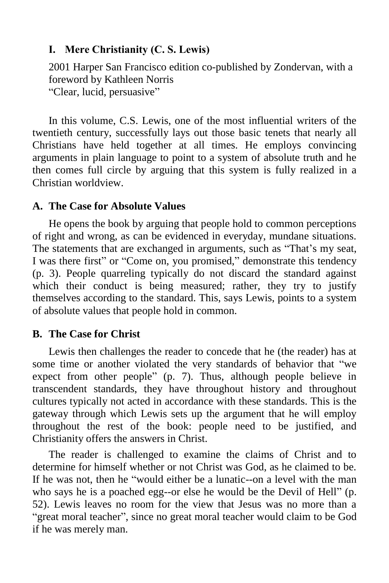## <span id="page-9-0"></span>**I. Mere Christianity (C. S. Lewis)**

2001 Harper San Francisco edition co-published by Zondervan, with a foreword by Kathleen Norris "Clear, lucid, persuasive"

In this volume, C.S. Lewis, one of the most influential writers of the twentieth century, successfully lays out those basic tenets that nearly all Christians have held together at all times. He employs convincing arguments in plain language to point to a system of absolute truth and he then comes full circle by arguing that this system is fully realized in a Christian worldview.

## <span id="page-9-1"></span>**A. The Case for Absolute Values**

He opens the book by arguing that people hold to common perceptions of right and wrong, as can be evidenced in everyday, mundane situations. The statements that are exchanged in arguments, such as "That's my seat, I was there first" or "Come on, you promised," demonstrate this tendency (p. 3). People quarreling typically do not discard the standard against which their conduct is being measured; rather, they try to justify themselves according to the standard. This, says Lewis, points to a system of absolute values that people hold in common.

## <span id="page-9-2"></span>**B. The Case for Christ**

Lewis then challenges the reader to concede that he (the reader) has at some time or another violated the very standards of behavior that "we expect from other people" (p. 7). Thus, although people believe in transcendent standards, they have throughout history and throughout cultures typically not acted in accordance with these standards. This is the gateway through which Lewis sets up the argument that he will employ throughout the rest of the book: people need to be justified, and Christianity offers the answers in Christ.

The reader is challenged to examine the claims of Christ and to determine for himself whether or not Christ was God, as he claimed to be. If he was not, then he "would either be a lunatic--on a level with the man who says he is a poached egg--or else he would be the Devil of Hell" (p. 52). Lewis leaves no room for the view that Jesus was no more than a "great moral teacher", since no great moral teacher would claim to be God if he was merely man.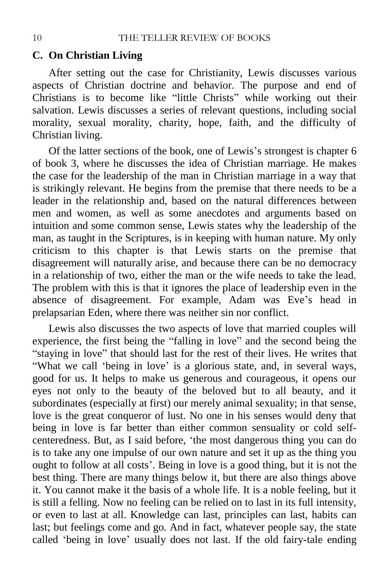## <span id="page-10-0"></span>**C. On Christian Living**

After setting out the case for Christianity, Lewis discusses various aspects of Christian doctrine and behavior. The purpose and end of Christians is to become like "little Christs" while working out their salvation. Lewis discusses a series of relevant questions, including social morality, sexual morality, charity, hope, faith, and the difficulty of Christian living.

Of the latter sections of the book, one of Lewis's strongest is chapter 6 of book 3, where he discusses the idea of Christian marriage. He makes the case for the leadership of the man in Christian marriage in a way that is strikingly relevant. He begins from the premise that there needs to be a leader in the relationship and, based on the natural differences between men and women, as well as some anecdotes and arguments based on intuition and some common sense, Lewis states why the leadership of the man, as taught in the Scriptures, is in keeping with human nature. My only criticism to this chapter is that Lewis starts on the premise that disagreement will naturally arise, and because there can be no democracy in a relationship of two, either the man or the wife needs to take the lead. The problem with this is that it ignores the place of leadership even in the absence of disagreement. For example, Adam was Eve's head in prelapsarian Eden, where there was neither sin nor conflict.

Lewis also discusses the two aspects of love that married couples will experience, the first being the "falling in love" and the second being the "staying in love" that should last for the rest of their lives. He writes that "What we call 'being in love' is a glorious state, and, in several ways, good for us. It helps to make us generous and courageous, it opens our eyes not only to the beauty of the beloved but to all beauty, and it subordinates (especially at first) our merely animal sexuality; in that sense, love is the great conqueror of lust. No one in his senses would deny that being in love is far better than either common sensuality or cold selfcenteredness. But, as I said before, 'the most dangerous thing you can do is to take any one impulse of our own nature and set it up as the thing you ought to follow at all costs'. Being in love is a good thing, but it is not the best thing. There are many things below it, but there are also things above it. You cannot make it the basis of a whole life. It is a noble feeling, but it is still a felling. Now no feeling can be relied on to last in its full intensity, or even to last at all. Knowledge can last, principles can last, habits can last; but feelings come and go. And in fact, whatever people say, the state called 'being in love' usually does not last. If the old fairy-tale ending